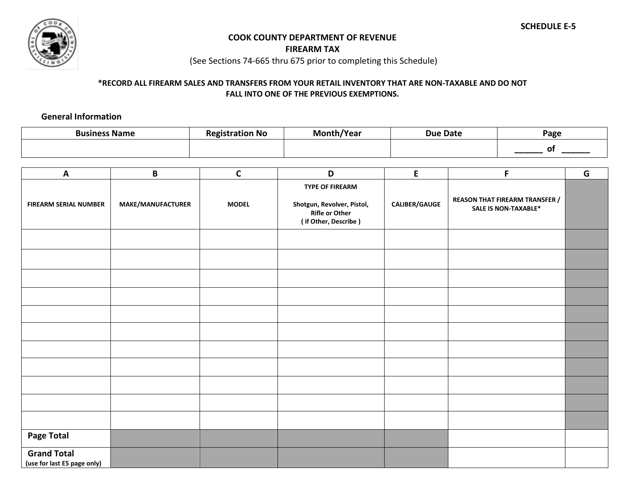

## **COOK COUNTY DEPARTMENT OF REVENUE**

**FIREARM TAX** 

(See Sections 74-665 thru 675 prior to completing this Schedule)

## **\*RECORD ALL FIREARM SALES AND TRANSFERS FROM YOUR RETAIL INVENTORY THAT ARE NON-TAXABLE AND DO NOT FALL INTO ONE OF THE PREVIOUS EXEMPTIONS.**

## **General Information**

| <b>Business Name</b> | <b>No</b><br>tion | <b>Year</b><br>Мc<br>. | <b>Due Date</b> | Page |  |
|----------------------|-------------------|------------------------|-----------------|------|--|
|                      |                   |                        |                 | n1   |  |

| $\boldsymbol{\mathsf{A}}$                         | B                 | $\mathsf{C}$ | D                                                                                                     | E                    | F                                                                    | G |
|---------------------------------------------------|-------------------|--------------|-------------------------------------------------------------------------------------------------------|----------------------|----------------------------------------------------------------------|---|
| <b>FIREARM SERIAL NUMBER</b>                      | MAKE/MANUFACTURER | <b>MODEL</b> | <b>TYPE OF FIREARM</b><br>Shotgun, Revolver, Pistol,<br><b>Rifle or Other</b><br>(if Other, Describe) | <b>CALIBER/GAUGE</b> | <b>REASON THAT FIREARM TRANSFER /</b><br><b>SALE IS NON-TAXABLE*</b> |   |
|                                                   |                   |              |                                                                                                       |                      |                                                                      |   |
|                                                   |                   |              |                                                                                                       |                      |                                                                      |   |
|                                                   |                   |              |                                                                                                       |                      |                                                                      |   |
|                                                   |                   |              |                                                                                                       |                      |                                                                      |   |
|                                                   |                   |              |                                                                                                       |                      |                                                                      |   |
|                                                   |                   |              |                                                                                                       |                      |                                                                      |   |
|                                                   |                   |              |                                                                                                       |                      |                                                                      |   |
|                                                   |                   |              |                                                                                                       |                      |                                                                      |   |
|                                                   |                   |              |                                                                                                       |                      |                                                                      |   |
|                                                   |                   |              |                                                                                                       |                      |                                                                      |   |
| <b>Page Total</b>                                 |                   |              |                                                                                                       |                      |                                                                      |   |
| <b>Grand Total</b><br>(use for last E5 page only) |                   |              |                                                                                                       |                      |                                                                      |   |